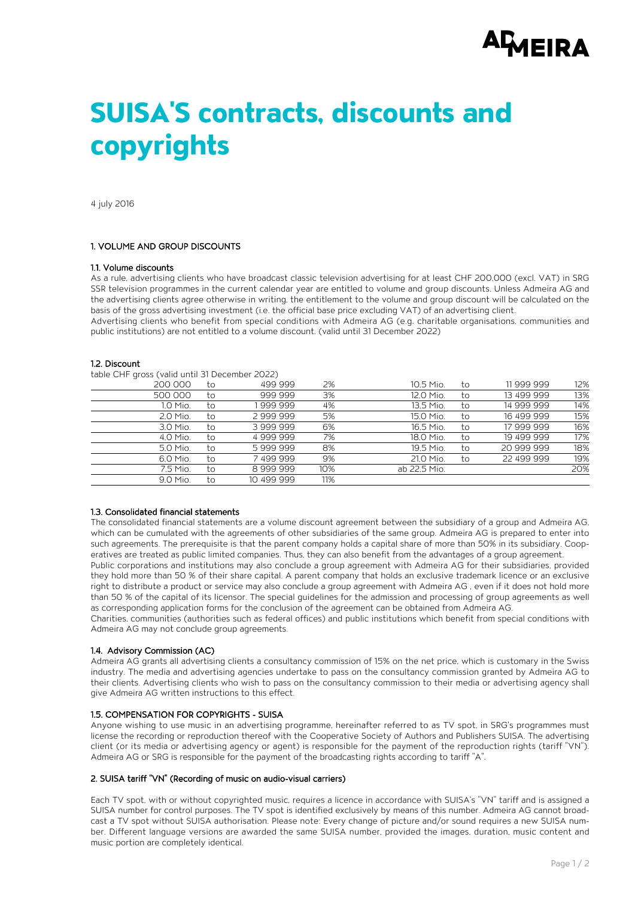# **AMEIRA**

# **SUISA'S contracts, discounts and copyrights**

4 july 2016

# 1. VOLUME AND GROUP DISCOUNTS

#### 1.1. Volume discounts

As a rule, advertising clients who have broadcast classic television advertising for at least CHF 200,000 (excl. VAT) in SRG SSR television programmes in the current calendar year are entitled to volume and group discounts. Unless Admeira AG and the advertising clients agree otherwise in writing, the entitlement to the volume and group discount will be calculated on the basis of the gross advertising investment (i.e. the official base price excluding VAT) of an advertising client.

Advertising clients who benefit from special conditions with Admeira AG (e.g. charitable organisations, communities and public institutions) are not entitled to a volume discount. (valid until 31 December 2022)

#### 12. Discount

table CHF gross (valid until 31 December 2022)

| 200 000  | to | 499 999    | 2%  | 10.5 Mio.    | to | 11999999   | 12% |
|----------|----|------------|-----|--------------|----|------------|-----|
| 500 000  | to | 999 999    | 3%  | 12.0 Mio.    | to | 13 499 999 | 13% |
| 1.0 Mio. | to | 999 999    | 4%  | 13.5 Mio.    | to | 14 999 999 | 14% |
| 2.0 Mio. | to | 2999999    | 5%  | 15.0 Mio.    | to | 16 499 999 | 15% |
| 3.0 Mio. | to | 3999999    | 6%  | 16.5 Mio.    | to | 17 999 999 | 16% |
| 4.0 Mio. | to | 4999999    | 7%  | 18.0 Mio.    | to | 19 499 999 | 17% |
| 5.0 Mio. | to | 5999999    | 8%  | 19.5 Mio.    | to | 20 999 999 | 18% |
| 6.0 Mio. | to | 7499999    | 9%  | 21.0 Mio.    | to | 22 499 999 | 19% |
| 7.5 Mio. | to | 8999999    | 10% | ab 22.5 Mio. |    |            | 20% |
| 9.0 Mio. | to | 10 499 999 | 11% |              |    |            |     |

#### 1.3. Consolidated financial statements

The consolidated financial statements are a volume discount agreement between the subsidiary of a group and Admeira AG, which can be cumulated with the agreements of other subsidiaries of the same group. Admeira AG is prepared to enter into such agreements. The prerequisite is that the parent company holds a capital share of more than 50% in its subsidiary. Cooperatives are treated as public limited companies. Thus, they can also benefit from the advantages of a group agreement.

Public corporations and institutions may also conclude a group agreement with Admeira AG for their subsidiaries, provided they hold more than 50 % of their share capital. A parent company that holds an exclusive trademark licence or an exclusive right to distribute a product or service may also conclude a group agreement with Admeira AG , even if it does not hold more than 50 % of the capital of its licensor. The special guidelines for the admission and processing of group agreements as well as corresponding application forms for the conclusion of the agreement can be obtained from Admeira AG.

Charities, communities (authorities such as federal offices) and public institutions which benefit from special conditions with Admeira AG may not conclude group agreements.

# 1.4. Advisory Commission (AC)

Admeira AG grants all advertising clients a consultancy commission of 15% on the net price, which is customary in the Swiss industry. The media and advertising agencies undertake to pass on the consultancy commission granted by Admeira AG to their clients. Advertising clients who wish to pass on the consultancy commission to their media or advertising agency shall give Admeira AG written instructions to this effect.

# 1.5. COMPENSATION FOR COPYRIGHTS - SUISA

Anyone wishing to use music in an advertising programme, hereinafter referred to as TV spot, in SRG's programmes must license the recording or reproduction thereof with the Cooperative Society of Authors and Publishers SUISA. The advertising client (or its media or advertising agency or agent) is responsible for the payment of the reproduction rights (tariff "VN"). Admeira AG or SRG is responsible for the payment of the broadcasting rights according to tariff "A".

# 2. SUISA tariff "VN" (Recording of music on audio-visual carriers)

Each TV spot, with or without copyrighted music, requires a licence in accordance with SUISA's "VN" tariff and is assigned a SUISA number for control purposes. The TV spot is identified exclusively by means of this number. Admeira AG cannot broadcast a TV spot without SUISA authorisation. Please note: Every change of picture and/or sound requires a new SUISA number. Different language versions are awarded the same SUISA number, provided the images, duration, music content and music portion are completely identical.